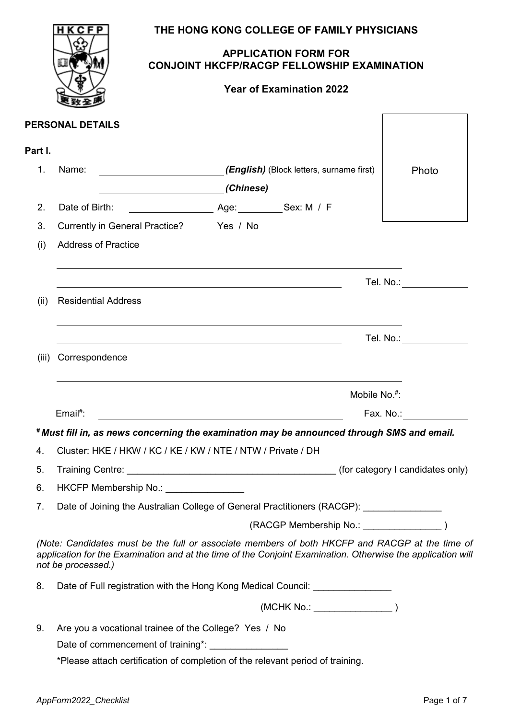|                | HKCFP                                                                                                                                                                                                                               |                                 | THE HONG KONG COLLEGE OF FAMILY PHYSICIANS         |                                      |
|----------------|-------------------------------------------------------------------------------------------------------------------------------------------------------------------------------------------------------------------------------------|---------------------------------|----------------------------------------------------|--------------------------------------|
|                |                                                                                                                                                                                                                                     | <b>APPLICATION FORM FOR</b>     | <b>CONJOINT HKCFP/RACGP FELLOWSHIP EXAMINATION</b> |                                      |
|                |                                                                                                                                                                                                                                     | <b>Year of Examination 2022</b> |                                                    |                                      |
|                | PERSONAL DETAILS                                                                                                                                                                                                                    |                                 |                                                    |                                      |
| Part I.        |                                                                                                                                                                                                                                     |                                 |                                                    |                                      |
| 1 <sub>1</sub> | (English) (Block letters, surname first)<br>Name:                                                                                                                                                                                   |                                 |                                                    | Photo                                |
| 2.             | Date of Birth:                                                                                                                                                                                                                      |                                 |                                                    |                                      |
| 3.             | Currently in General Practice? Yes / No                                                                                                                                                                                             |                                 |                                                    |                                      |
| (i)            | <b>Address of Practice</b>                                                                                                                                                                                                          |                                 |                                                    |                                      |
|                |                                                                                                                                                                                                                                     |                                 |                                                    |                                      |
|                |                                                                                                                                                                                                                                     |                                 |                                                    | Tel. No.: <b>All and State</b>       |
| (ii)           | <b>Residential Address</b>                                                                                                                                                                                                          |                                 |                                                    |                                      |
|                |                                                                                                                                                                                                                                     |                                 |                                                    | Tel. No.: <b>All and State State</b> |
| (iii)          | Correspondence                                                                                                                                                                                                                      |                                 |                                                    |                                      |
|                |                                                                                                                                                                                                                                     |                                 |                                                    | Mobile $No.*$ :                      |
|                | Email#:                                                                                                                                                                                                                             |                                 |                                                    | Fax. No.: <b>Example 2</b>           |
|                | *Must fill in, as news concerning the examination may be announced through SMS and email.                                                                                                                                           |                                 |                                                    |                                      |
| 4.             | Cluster: HKE / HKW / KC / KE / KW / NTE / NTW / Private / DH                                                                                                                                                                        |                                 |                                                    |                                      |
| 5.             |                                                                                                                                                                                                                                     |                                 |                                                    |                                      |
| 6.             | HKCFP Membership No.: _______________                                                                                                                                                                                               |                                 |                                                    |                                      |
| 7.             | Date of Joining the Australian College of General Practitioners (RACGP): ______________                                                                                                                                             |                                 |                                                    |                                      |
|                |                                                                                                                                                                                                                                     |                                 |                                                    |                                      |
|                | (Note: Candidates must be the full or associate members of both HKCFP and RACGP at the time of<br>application for the Examination and at the time of the Conjoint Examination. Otherwise the application will<br>not be processed.) |                                 |                                                    |                                      |
| 8.             | Date of Full registration with the Hong Kong Medical Council: __________________                                                                                                                                                    |                                 |                                                    |                                      |
|                |                                                                                                                                                                                                                                     |                                 |                                                    |                                      |
| 9.             | Are you a vocational trainee of the College? Yes / No                                                                                                                                                                               |                                 |                                                    |                                      |
|                |                                                                                                                                                                                                                                     |                                 |                                                    |                                      |
|                | *Please attach certification of completion of the relevant period of training.                                                                                                                                                      |                                 |                                                    |                                      |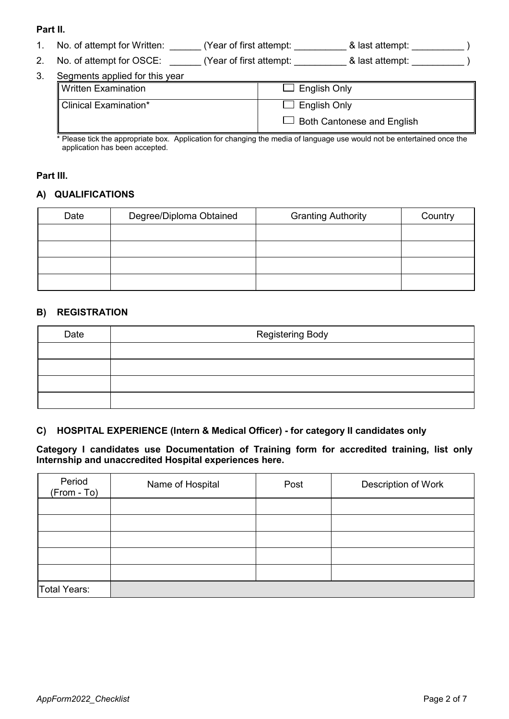# **Part II.**

|  | No. of attempt for Written: | Year of first attempt: | & last attempt: |  |
|--|-----------------------------|------------------------|-----------------|--|
|--|-----------------------------|------------------------|-----------------|--|

2. No. of attempt for OSCE: \_\_\_\_\_\_ (Year of first attempt: \_\_\_\_\_\_\_\_\_\_ & last attempt: \_\_\_\_\_\_\_\_\_\_\_ )

| 3.<br>Segments applied for this year |  |
|--------------------------------------|--|
|--------------------------------------|--|

|                            | $\sim$ |                                   |  |
|----------------------------|--------|-----------------------------------|--|
| <b>Written Examination</b> |        | $\Box$ English Only               |  |
| Clinical Examination*      |        | $\Box$ English Only               |  |
|                            |        | $\Box$ Both Cantonese and English |  |

\* Please tick the appropriate box. Application for changing the media of language use would not be entertained once the application has been accepted.

## **Part III.**

# **A) QUALIFICATIONS**

| Date | Degree/Diploma Obtained | <b>Granting Authority</b> | Country |
|------|-------------------------|---------------------------|---------|
|      |                         |                           |         |
|      |                         |                           |         |
|      |                         |                           |         |
|      |                         |                           |         |

# **B) REGISTRATION**

| Date | <b>Registering Body</b> |  |
|------|-------------------------|--|
|      |                         |  |
|      |                         |  |
|      |                         |  |
|      |                         |  |

# **C) HOSPITAL EXPERIENCE (Intern & Medical Officer) - for category II candidates only**

**Category I candidates use Documentation of Training form for accredited training, list only Internship and unaccredited Hospital experiences here.**

| Period<br>(From - To) | Name of Hospital | Post | Description of Work |
|-----------------------|------------------|------|---------------------|
|                       |                  |      |                     |
|                       |                  |      |                     |
|                       |                  |      |                     |
|                       |                  |      |                     |
|                       |                  |      |                     |
| Total Years:          |                  |      |                     |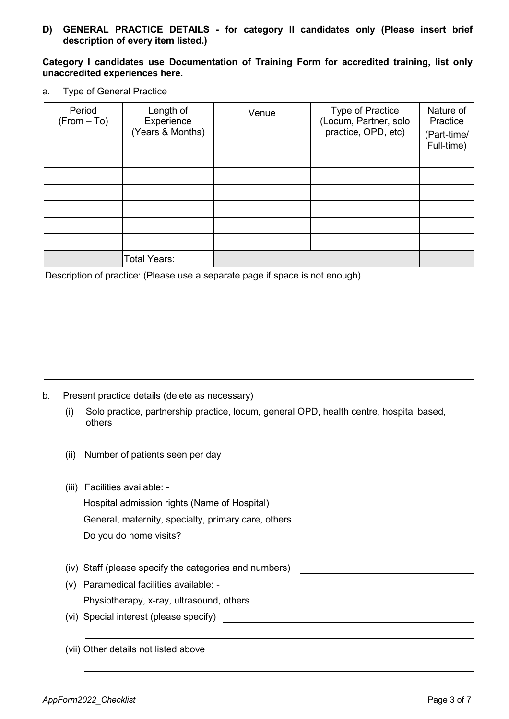**D) GENERAL PRACTICE DETAILS - for category II candidates only (Please insert brief description of every item listed.)**

#### **Category I candidates use Documentation of Training Form for accredited training, list only unaccredited experiences here.**

a. Type of General Practice

| Period<br>$(From - To)$ | Length of<br>Experience<br>(Years & Months) | Venue                                                                        | Type of Practice<br>(Locum, Partner, solo<br>practice, OPD, etc) | Nature of<br>Practice<br>(Part-time/<br>Full-time) |
|-------------------------|---------------------------------------------|------------------------------------------------------------------------------|------------------------------------------------------------------|----------------------------------------------------|
|                         |                                             |                                                                              |                                                                  |                                                    |
|                         |                                             |                                                                              |                                                                  |                                                    |
|                         |                                             |                                                                              |                                                                  |                                                    |
|                         |                                             |                                                                              |                                                                  |                                                    |
|                         |                                             |                                                                              |                                                                  |                                                    |
|                         |                                             |                                                                              |                                                                  |                                                    |
|                         | <b>Total Years:</b>                         |                                                                              |                                                                  |                                                    |
|                         |                                             | Description of practice: (Please use a separate page if space is not enough) |                                                                  |                                                    |
|                         |                                             |                                                                              |                                                                  |                                                    |
|                         |                                             |                                                                              |                                                                  |                                                    |
|                         |                                             |                                                                              |                                                                  |                                                    |

- b. Present practice details (delete as necessary)
	- (i) Solo practice, partnership practice, locum, general OPD, health centre, hospital based, others
	- (ii) Number of patients seen per day

(vii) Other details not listed above

| (iii) | Facilities available: -                                |
|-------|--------------------------------------------------------|
|       | Hospital admission rights (Name of Hospital)           |
|       | General, maternity, specialty, primary care, others    |
|       | Do you do home visits?                                 |
|       |                                                        |
|       | (iv) Staff (please specify the categories and numbers) |
|       | (v) Paramedical facilities available: -                |
|       | Physiotherapy, x-ray, ultrasound, others               |
|       | (vi) Special interest (please specify)                 |
|       |                                                        |
|       |                                                        |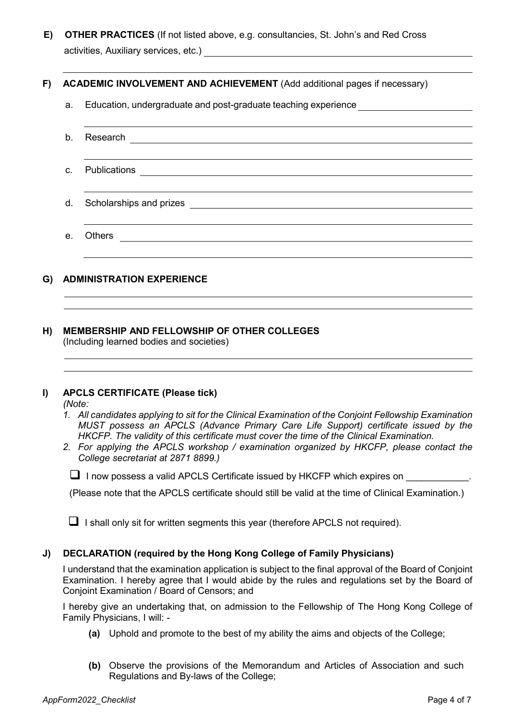**E) OTHER PRACTICES** (If not listed above, e.g. consultancies, St. John's and Red Cross activities, Auxiliary services, etc.)

# **F) ACADEMIC INVOLVEMENT AND ACHIEVEMENT** (Add additional pages if necessary)

- a. Education, undergraduate and post-graduate teaching experience
- b. Research c. Publications d. Scholarships and prizes e. Others

# **G) ADMINISTRATION EXPERIENCE**

#### **H) MEMBERSHIP AND FELLOWSHIP OF OTHER COLLEGES** (Including learned bodies and societies)

#### **I) APCLS CERTIFICATE (Please tick)**

*(Note:*

- *1. All candidates applying to sit for the Clinical Examination of the Conjoint Fellowship Examination MUST possess an APCLS (Advance Primary Care Life Support) certificate issued by the HKCFP. The validity of this certificate must cover the time of the Clinical Examination.*
- *2. For applying the APCLS workshop / examination organized by HKCFP, please contact the College secretariat at 2871 8899.)*

 $\Box$  I now possess a valid APCLS Certificate issued by HKCFP which expires on

(Please note that the APCLS certificate should still be valid at the time of Clinical Examination.)

 $\Box$  I shall only sit for written segments this year (therefore APCLS not required).

#### **J) DECLARATION (required by the Hong Kong College of Family Physicians)**

I understand that the examination application is subject to the final approval of the Board of Conjoint Examination. I hereby agree that I would abide by the rules and regulations set by the Board of Conjoint Examination / Board of Censors; and

I hereby give an undertaking that, on admission to the Fellowship of The Hong Kong College of Family Physicians, I will: -

- **(a)** Uphold and promote to the best of my ability the aims and objects of the College;
- **(b)** Observe the provisions of the Memorandum and Articles of Association and such Regulations and By-laws of the College;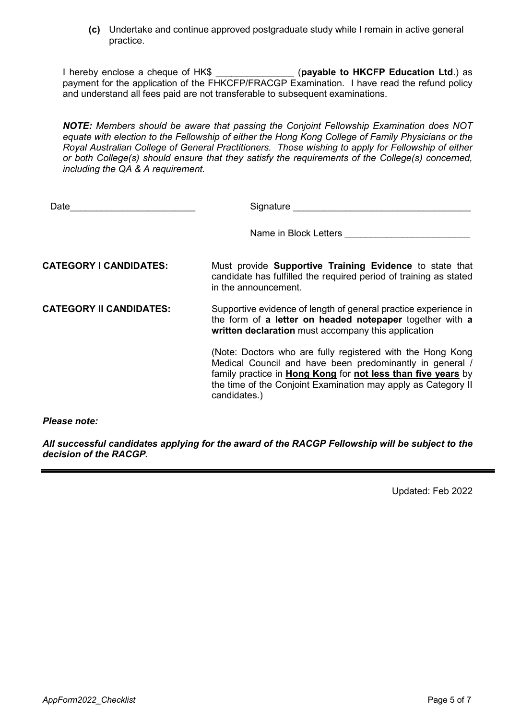**(c)** Undertake and continue approved postgraduate study while I remain in active general practice.

I hereby enclose a cheque of HK\$ *(payable to HKCFP Education Ltd.)* as payment for the application of the FHKCFP/FRACGP Examination. I have read the refund policy and understand all fees paid are not transferable to subsequent examinations.

*NOTE: Members should be aware that passing the Conjoint Fellowship Examination does NOT equate with election to the Fellowship of either the Hong Kong College of Family Physicians or the Royal Australian College of General Practitioners. Those wishing to apply for Fellowship of either or both College(s) should ensure that they satisfy the requirements of the College(s) concerned, including the QA & A requirement.*

| Date                           | Signature                                                                                                                                                                                                                                                               |
|--------------------------------|-------------------------------------------------------------------------------------------------------------------------------------------------------------------------------------------------------------------------------------------------------------------------|
|                                | Name in Block Letters                                                                                                                                                                                                                                                   |
| <b>CATEGORY I CANDIDATES:</b>  | Must provide <b>Supportive Training Evidence</b> to state that<br>candidate has fulfilled the required period of training as stated<br>in the announcement.                                                                                                             |
| <b>CATEGORY II CANDIDATES:</b> | Supportive evidence of length of general practice experience in<br>the form of a letter on headed notepaper together with a<br>written declaration must accompany this application                                                                                      |
|                                | (Note: Doctors who are fully registered with the Hong Kong<br>Medical Council and have been predominantly in general /<br>family practice in Hong Kong for not less than five years by<br>the time of the Conjoint Examination may apply as Category II<br>candidates.) |
| <i><b>Please note:</b></i>     |                                                                                                                                                                                                                                                                         |

*All successful candidates applying for the award of the RACGP Fellowship will be subject to the decision of the RACGP.* 

Updated: Feb 2022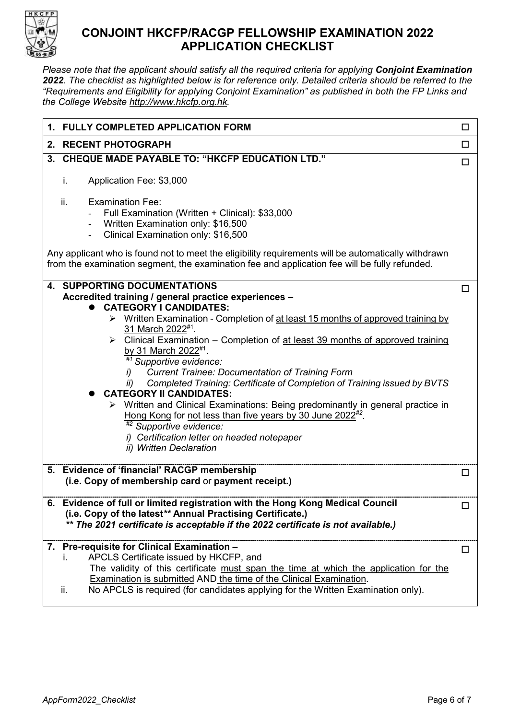

# **CONJOINT HKCFP/RACGP FELLOWSHIP EXAMINATION 2022 APPLICATION CHECKLIST**

*Please note that the applicant should satisfy all the required criteria for applying Conjoint Examination 2022. The checklist as highlighted below is for reference only. Detailed criteria should be referred to the "Requirements and Eligibility for applying Conjoint Examination" as published in both the FP Links and the College Website [http://www.hkcfp.org.hk.](http://www.hkcfp.org.hk/)* 

| 1. FULLY COMPLETED APPLICATION FORM                                                                                                                                                                                                                                                                                                            | □      |
|------------------------------------------------------------------------------------------------------------------------------------------------------------------------------------------------------------------------------------------------------------------------------------------------------------------------------------------------|--------|
| 2. RECENT PHOTOGRAPH                                                                                                                                                                                                                                                                                                                           | $\Box$ |
| 3. CHEQUE MADE PAYABLE TO: "HKCFP EDUCATION LTD."                                                                                                                                                                                                                                                                                              | $\Box$ |
| i.<br>Application Fee: \$3,000                                                                                                                                                                                                                                                                                                                 |        |
| ii.<br><b>Examination Fee:</b><br>Full Examination (Written + Clinical): \$33,000<br>Written Examination only: \$16,500<br>Clinical Examination only: \$16,500<br>$\blacksquare$                                                                                                                                                               |        |
| Any applicant who is found not to meet the eligibility requirements will be automatically withdrawn<br>from the examination segment, the examination fee and application fee will be fully refunded.                                                                                                                                           |        |
| <b>4. SUPPORTING DOCUMENTATIONS</b><br>Accredited training / general practice experiences -<br><b>CATEGORY I CANDIDATES:</b>                                                                                                                                                                                                                   | □      |
| > Written Examination - Completion of at least 15 months of approved training by<br>31 March 2022 <sup>#1</sup> .<br>> Clinical Examination - Completion of at least 39 months of approved training<br>by 31 March 2022#1.<br>#1 Supportive evidence:                                                                                          |        |
| <b>Current Trainee: Documentation of Training Form</b><br>I)<br>Completed Training: Certificate of Completion of Training issued by BVTS<br>ii)<br><b>CATEGORY II CANDIDATES:</b>                                                                                                                                                              |        |
| Written and Clinical Examinations: Being predominantly in general practice in<br>Hong Kong for not less than five years by 30 June 2022 <sup>#2</sup> .<br>#2 Supportive evidence:                                                                                                                                                             |        |
| i) Certification letter on headed notepaper<br>ii) Written Declaration                                                                                                                                                                                                                                                                         |        |
| 5. Evidence of 'financial' RACGP membership<br>(i.e. Copy of membership card or payment receipt.)                                                                                                                                                                                                                                              | □      |
| 6. Evidence of full or limited registration with the Hong Kong Medical Council<br>(i.e. Copy of the latest** Annual Practising Certificate.)<br>** The 2021 certificate is acceptable if the 2022 certificate is not available.)                                                                                                               | □      |
| 7. Pre-requisite for Clinical Examination -<br>APCLS Certificate issued by HKCFP, and<br>The validity of this certificate must span the time at which the application for the<br>Examination is submitted AND the time of the Clinical Examination.<br>No APCLS is required (for candidates applying for the Written Examination only).<br>ii. | □      |